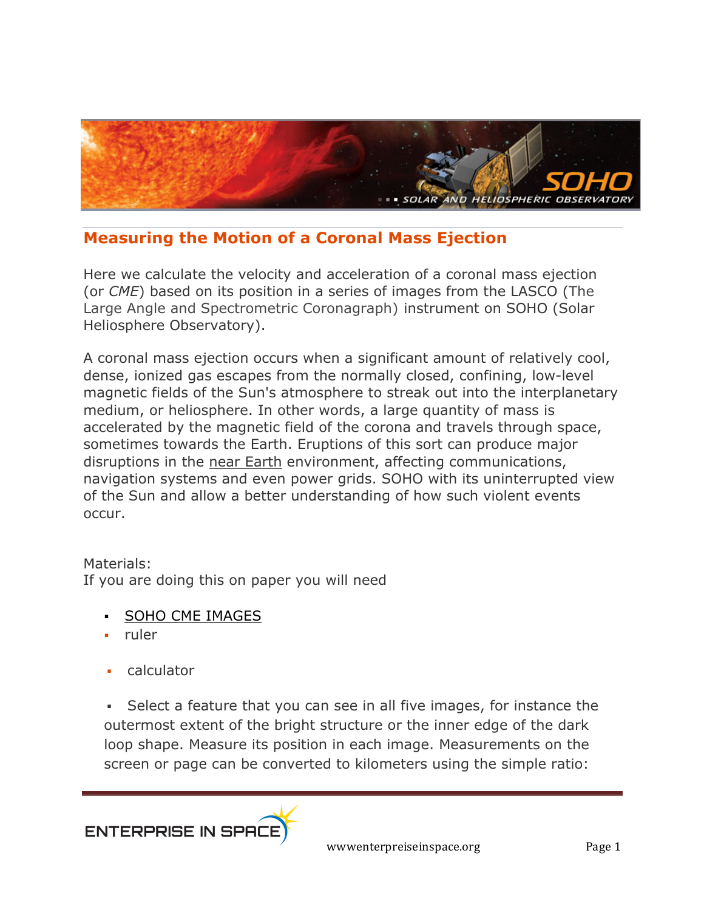

## **Measuring the Motion of a Coronal Mass Ejection**

Here we calculate the velocity and acceleration of a coronal mass ejection (or *CME*) based on its position in a series of images from the LASCO (The Large Angle and Spectrometric Coronagraph) instrument on SOHO (Solar Heliosphere Observatory).

A coronal mass ejection occurs when a significant amount of relatively cool, dense, ionized gas escapes from the normally closed, confining, low-level magnetic fields of the Sun's atmosphere to streak out into the interplanetary medium, or heliosphere. In other words, a large quantity of mass is accelerated by the magnetic field of the corona and travels through space, sometimes towards the Earth. Eruptions of this sort can produce major disruptions in the near Earth environment, affecting communications, navigation systems and even power grids. SOHO with its uninterrupted view of the Sun and allow a better understanding of how such violent events occur.

## Materials:

If you are doing this on paper you will need

- § SOHO CME IMAGES
- § ruler
- § calculator

• Select a feature that you can see in all five images, for instance the outermost extent of the bright structure or the inner edge of the dark loop shape. Measure its position in each image. Measurements on the screen or page can be converted to kilometers using the simple ratio: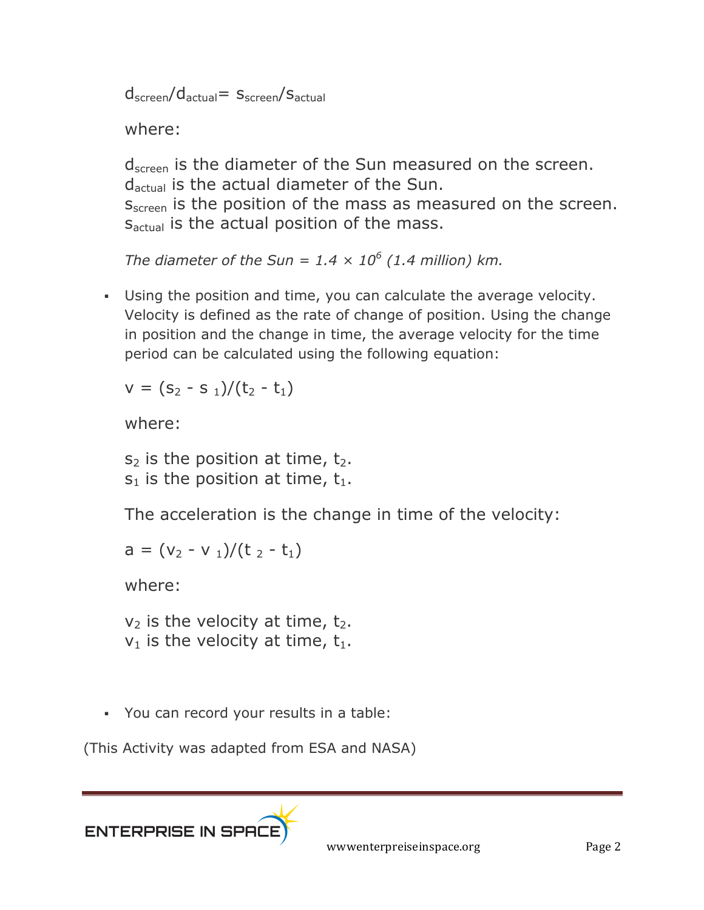$d_{\text{screen}}/d_{\text{actual}}= S_{\text{screen}}/S_{\text{actual}}$ 

where:

d<sub>screen</sub> is the diameter of the Sun measured on the screen. dactual is the actual diameter of the Sun.

s<sub>screen</sub> is the position of the mass as measured on the screen. S<sub>actual</sub> is the actual position of the mass.

*The diameter of the Sun =*  $1.4 \times 10^6$  *(1.4 million) km.* 

§ Using the position and time, you can calculate the average velocity. Velocity is defined as the rate of change of position. Using the change in position and the change in time, the average velocity for the time period can be calculated using the following equation:

$$
v = (s_2 - s_1)/(t_2 - t_1)
$$

where:

 $s_2$  is the position at time,  $t_2$ .  $s_1$  is the position at time,  $t_1$ .

The acceleration is the change in time of the velocity:

$$
a = (v_2 - v_1)/(t_2 - t_1)
$$

where:

 $v_2$  is the velocity at time,  $t_2$ .  $v_1$  is the velocity at time,  $t_1$ .

§ You can record your results in a table:

(This Activity was adapted from ESA and NASA)